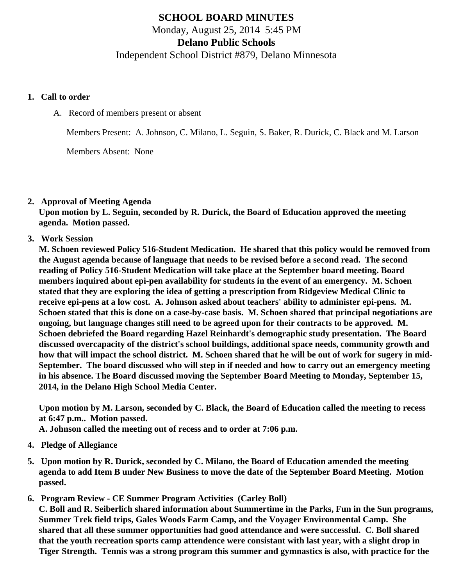# **SCHOOL BOARD MINUTES**

Monday, August 25, 2014 5:45 PM

**Delano Public Schools**

Independent School District #879, Delano Minnesota

#### **1. Call to order**

A. Record of members present or absent

Members Present: A. Johnson, C. Milano, L. Seguin, S. Baker, R. Durick, C. Black and M. Larson

Members Absent: None

# **2. Approval of Meeting Agenda**

**Upon motion by L. Seguin, seconded by R. Durick, the Board of Education approved the meeting agenda. Motion passed.**

**3. Work Session**

**M. Schoen reviewed Policy 516-Student Medication. He shared that this policy would be removed from the August agenda because of language that needs to be revised before a second read. The second reading of Policy 516-Student Medication will take place at the September board meeting. Board members inquired about epi-pen availability for students in the event of an emergency. M. Schoen stated that they are exploring the idea of getting a prescription from Ridgeview Medical Clinic to receive epi-pens at a low cost. A. Johnson asked about teachers' ability to administer epi-pens. M. Schoen stated that this is done on a case-by-case basis. M. Schoen shared that principal negotiations are ongoing, but language changes still need to be agreed upon for their contracts to be approved. M. Schoen debriefed the Board regarding Hazel Reinhardt's demographic study presentation. The Board discussed overcapacity of the district's school buildings, additional space needs, community growth and how that will impact the school district. M. Schoen shared that he will be out of work for sugery in mid-September. The board discussed who will step in if needed and how to carry out an emergency meeting in his absence. The Board discussed moving the September Board Meeting to Monday, September 15, 2014, in the Delano High School Media Center.**

**Upon motion by M. Larson, seconded by C. Black, the Board of Education called the meeting to recess at 6:47 p.m.. Motion passed.**

**A. Johnson called the meeting out of recess and to order at 7:06 p.m.**

- **4. Pledge of Allegiance**
- **5. Upon motion by R. Durick, seconded by C. Milano, the Board of Education amended the meeting agenda to add Item B under New Business to move the date of the September Board Meeting. Motion passed.**
- **6. Program Review CE Summer Program Activities (Carley Boll)**

**C. Boll and R. Seiberlich shared information about Summertime in the Parks, Fun in the Sun programs, Summer Trek field trips, Gales Woods Farm Camp, and the Voyager Environmental Camp. She shared that all these summer opportunities had good attendance and were successful. C. Boll shared that the youth recreation sports camp attendence were consistant with last year, with a slight drop in Tiger Strength. Tennis was a strong program this summer and gymnastics is also, with practice for the**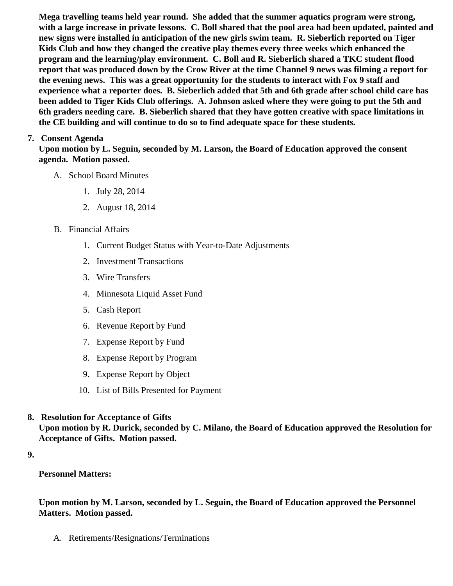Mega travelling teams held year round. She added that the summer aquatics program were strong, with a large increase in private lessons. C. Boll shared that the pool area had been updated, painted and new signs were installed in anticipation of the new girls swim team. R. Sieberlich reported on Tiger Kids Club and how they changed the creative play themes every three weeks which enhanced the program and the learning/play environment. C. Boll and R. Sieberlich shared a TKC student flood report that was produced down by the Crow River at the time Channel 9 news was filming a report for the evening news. This was a great opportunity for the students to interact with Fox 9 staff and experience what a reporter does. B. Sieberlich added that 5th and 6th grade after school child care has been added to Tiger Kids Club offerings. A. Johnson asked where they were going to put the 5th and 6th graders needing care. B. Sieberlich shared that they have gotten creative with space limitations in the CE building and will continue to do so to find adequate space for these students.

# 7. Consent Agenda

Upon motion by L. Seguin, seconded by M. Larson, the Board of Education approved the consent agenda. Motion passed.

- A. School Board Minutes
	- 1. [July 28, 2014](/docs/district/Business_Office/July_2014_School_Board_Meeting_Minutes.pdf)
	- 2. [August 18, 201](/docs/district/Business_Office/School_Board_Special_Session_Minutes_8.18.14.pdf)4
- B. Financial Affairs
	- 1. [Current Budget Status with Year-to-Date Adjustm](/docs/district/Business_Office/Budget_Report_Aug_14.pdf)ents
	- 2. [Investment Transactio](/docs/district/Business_Office/Investment_schedule_14-15.pdf  )ns
	- 3. [Wire Transfer](/docs/district/Business_Office/Wire_Transfer.pdf)s
	- 4. [Minnesota Liquid Asset Fun](/docs/district/Business_Office/Liquid_Asset_Fund_FY15.pdf  )d
	- 5. [Cash Repo](/docs/district/Business_Office/Cash_Report.pdf)rt
	- 6. [Revenue Report by Fu](/docs/district/Business_Office/SCHOOL_BOARD_REPORTS_-_REVENUE_BY_FUND_TOTAL__(Date__6_2015).pdf)nd
	- 7. [Expense Report by Fu](/docs/district/Business_Office/SCHOOL_BOARD_REPORTS_-_EXP_BY_FUND_TOTAL__(Date__6_2015).pdf)nd
	- 8. [Expense Report by Progra](/docs/district/Business_Office/SCHOOL_BOARD_REPORTS_-_EXPENDITURES_BY_PROGRAM__(Date__6_2015).pdf)m
	- 9. [Expense Report by Obje](/docs/district/Business_Office/SCHOOL_BOARD_REPORTS_-_EXPENDITURES_BY_OBJECT__(Date__6_2015).pdf)ct
	- 10. [List of Bills Presented for Payme](/docs/district/Business_Office/Monthly_Bills_Paid.pdf)nt
- 8. [Resolution for Acceptance of Gifts](/docs/district/Business_Office/Resolution_for_Acceptance_of_Gifts_8.25.14.pdf) Upon motion by R. Durick, seconded by C. Milano, the Board of Education approved the Resolution for Acceptance of Gifts. Motion passed.

9.

Personnel Matters:

Upon motion by M. Larson, seconded by L. Seguin, the Board of Education approved the Personnel Matters. Motion passed.

A. Retirements/Resignations/Terminations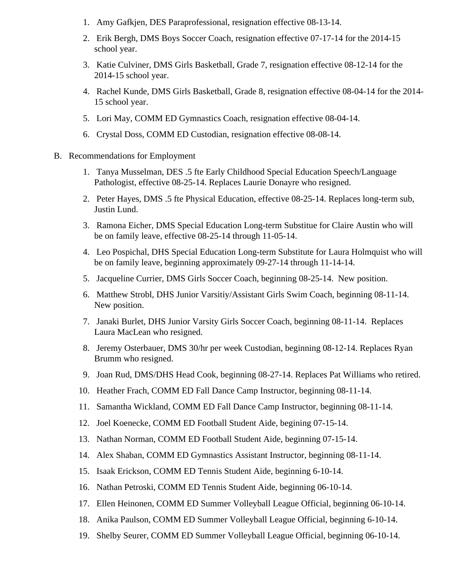- 1. Amy Gafkjen, DES Paraprofessional, resignation effective 08-13-14.
- 2. Erik Bergh, DMS Boys Soccer Coach, resignation effective 07-17-14 for the 2014-15 school year.
- 3. Katie Culviner, DMS Girls Basketball, Grade 7, resignation effective 08-12-14 for the 2014-15 school year.
- 4. Rachel Kunde, DMS Girls Basketball, Grade 8, resignation effective 08-04-14 for the 2014- 15 school year.
- 5. Lori May, COMM ED Gymnastics Coach, resignation effective 08-04-14.
- 6. Crystal Doss, COMM ED Custodian, resignation effective 08-08-14.
- B. Recommendations for Employment
	- 1. Tanya Musselman, DES .5 fte Early Childhood Special Education Speech/Language Pathologist, effective 08-25-14. Replaces Laurie Donayre who resigned.
	- 2. Peter Hayes, DMS .5 fte Physical Education, effective 08-25-14. Replaces long-term sub, Justin Lund.
	- 3. Ramona Eicher, DMS Special Education Long-term Substitue for Claire Austin who will be on family leave, effective 08-25-14 through 11-05-14.
	- 4. Leo Pospichal, DHS Special Education Long-term Substitute for Laura Holmquist who will be on family leave, beginning approximately 09-27-14 through 11-14-14.
	- 5. Jacqueline Currier, DMS Girls Soccer Coach, beginning 08-25-14. New position.
	- 6. Matthew Strobl, DHS Junior Varsitiy/Assistant Girls Swim Coach, beginning 08-11-14. New position.
	- 7. Janaki Burlet, DHS Junior Varsity Girls Soccer Coach, beginning 08-11-14. Replaces Laura MacLean who resigned.
	- 8. Jeremy Osterbauer, DMS 30/hr per week Custodian, beginning 08-12-14. Replaces Ryan Brumm who resigned.
	- 9. Joan Rud, DMS/DHS Head Cook, beginning 08-27-14. Replaces Pat Williams who retired.
	- 10. Heather Frach, COMM ED Fall Dance Camp Instructor, beginning 08-11-14.
	- 11. Samantha Wickland, COMM ED Fall Dance Camp Instructor, beginning 08-11-14.
	- 12. Joel Koenecke, COMM ED Football Student Aide, begining 07-15-14.
	- 13. Nathan Norman, COMM ED Football Student Aide, beginning 07-15-14.
	- 14. Alex Shaban, COMM ED Gymnastics Assistant Instructor, beginning 08-11-14.
	- 15. Isaak Erickson, COMM ED Tennis Student Aide, beginning 6-10-14.
	- 16. Nathan Petroski, COMM ED Tennis Student Aide, beginning 06-10-14.
	- 17. Ellen Heinonen, COMM ED Summer Volleyball League Official, beginning 06-10-14.
	- 18. Anika Paulson, COMM ED Summer Volleyball League Official, beginning 6-10-14.
	- 19. Shelby Seurer, COMM ED Summer Volleyball League Official, beginning 06-10-14.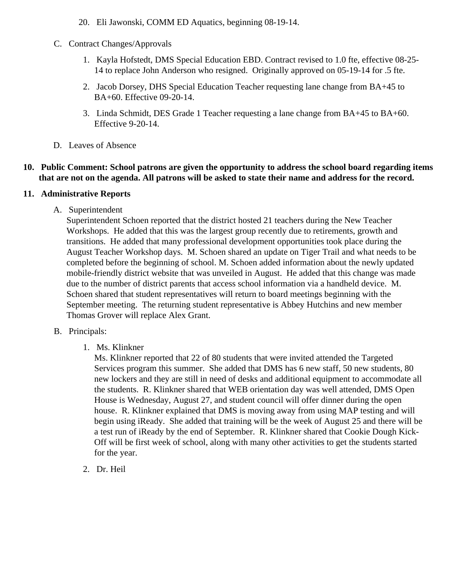- 20. Eli Jawonski, COMM ED Aquatics, beginning 08-19-14.
- C. Contract Changes/Approvals
	- 1. Kayla Hofstedt, DMS Special Education EBD. Contract revised to 1.0 fte, effective 08-25- 14 to replace John Anderson who resigned. Originally approved on 05-19-14 for .5 fte.
	- 2. Jacob Dorsey, DHS Special Education Teacher requesting lane change from BA+45 to BA+60. Effective 09-20-14.
	- 3. Linda Schmidt, DES Grade 1 Teacher requesting a lane change from BA+45 to BA+60. Effective 9-20-14.
- D. Leaves of Absence

#### **10. Public Comment: School patrons are given the opportunity to address the school board regarding items that are not on the agenda. All patrons will be asked to state their name and address for the record.**

### **11. Administrative Reports**

A. Superintendent

Superintendent Schoen reported that the district hosted 21 teachers during the New Teacher Workshops. He added that this was the largest group recently due to retirements, growth and transitions. He added that many professional development opportunities took place during the August Teacher Workshop days. M. Schoen shared an update on Tiger Trail and what needs to be completed before the beginning of school. M. Schoen added information about the newly updated mobile-friendly district website that was unveiled in August. He added that this change was made due to the number of district parents that access school information via a handheld device. M. Schoen shared that student representatives will return to board meetings beginning with the September meeting. The returning student representative is Abbey Hutchins and new member Thomas Grover will replace Alex Grant.

- B. Principals:
	- 1. Ms. Klinkner

Ms. Klinkner reported that 22 of 80 students that were invited attended the Targeted Services program this summer. She added that DMS has 6 new staff, 50 new students, 80 new lockers and they are still in need of desks and additional equipment to accommodate all the students. R. Klinkner shared that WEB orientation day was well attended, DMS Open House is Wednesday, August 27, and student council will offer dinner during the open house. R. Klinkner explained that DMS is moving away from using MAP testing and will begin using iReady. She added that training will be the week of August 25 and there will be a test run of iReady by the end of September. R. Klinkner shared that Cookie Dough Kick-Off will be first week of school, along with many other activities to get the students started for the year.

2. Dr. Heil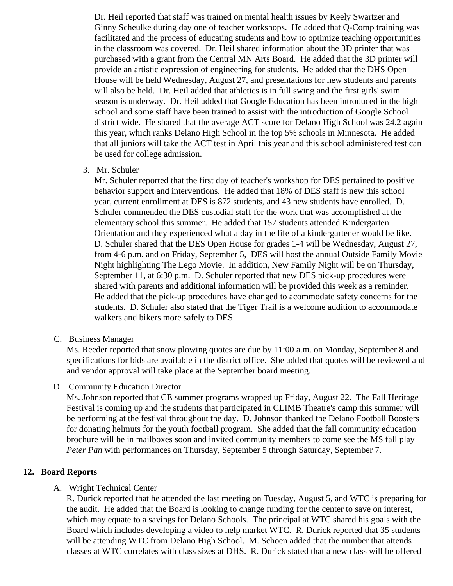Dr. Heil reported that staff was trained on mental health issues by Keely Swartzer and Ginny Scheulke during day one of teacher workshops. He added that Q-Comp training was facilitated and the process of educating students and how to optimize teaching opportunities in the classroom was covered. Dr. Heil shared information about the 3D printer that was purchased with a grant from the Central MN Arts Board. He added that the 3D printer will provide an artistic expression of engineering for students. He added that the DHS Open House will be held Wednesday, August 27, and presentations for new students and parents will also be held. Dr. Heil added that athletics is in full swing and the first girls' swim season is underway. Dr. Heil added that Google Education has been introduced in the high school and some staff have been trained to assist with the introduction of Google School district wide. He shared that the average ACT score for Delano High School was 24.2 again this year, which ranks Delano High School in the top 5% schools in Minnesota. He added that all juniors will take the ACT test in April this year and this school administered test can be used for college admission.

3. Mr. Schuler

Mr. Schuler reported that the first day of teacher's workshop for DES pertained to positive behavior support and interventions. He added that 18% of DES staff is new this school year, current enrollment at DES is 872 students, and 43 new students have enrolled. D. Schuler commended the DES custodial staff for the work that was accomplished at the elementary school this summer. He added that 157 students attended Kindergarten Orientation and they experienced what a day in the life of a kindergartener would be like. D. Schuler shared that the DES Open House for grades 1-4 will be Wednesday, August 27, from 4-6 p.m. and on Friday, September 5, DES will host the annual Outside Family Movie Night highlighting The Lego Movie. In addition, New Family Night will be on Thursday, September 11, at 6:30 p.m. D. Schuler reported that new DES pick-up procedures were shared with parents and additional information will be provided this week as a reminder. He added that the pick-up procedures have changed to acommodate safety concerns for the students. D. Schuler also stated that the Tiger Trail is a welcome addition to accommodate walkers and bikers more safely to DES.

C. Business Manager

Ms. Reeder reported that snow plowing quotes are due by 11:00 a.m. on Monday, September 8 and specifications for bids are available in the district office. She added that quotes will be reviewed and and vendor approval will take place at the September board meeting.

D. Community Education Director

Ms. Johnson reported that CE summer programs wrapped up Friday, August 22. The Fall Heritage Festival is coming up and the students that participated in CLIMB Theatre's camp this summer will be performing at the festival throughout the day. D. Johnson thanked the Delano Football Boosters for donating helmuts for the youth football program. She added that the fall community education brochure will be in mailboxes soon and invited community members to come see the MS fall play *Peter Pan* with performances on Thursday, September 5 through Saturday, September 7.

#### **12. Board Reports**

#### A. Wright Technical Center

R. Durick reported that he attended the last meeting on Tuesday, August 5, and WTC is preparing for the audit. He added that the Board is looking to change funding for the center to save on interest, which may equate to a savings for Delano Schools. The principal at WTC shared his goals with the Board which includes developing a video to help market WTC. R. Durick reported that 35 students will be attending WTC from Delano High School. M. Schoen added that the number that attends classes at WTC correlates with class sizes at DHS. R. Durick stated that a new class will be offered